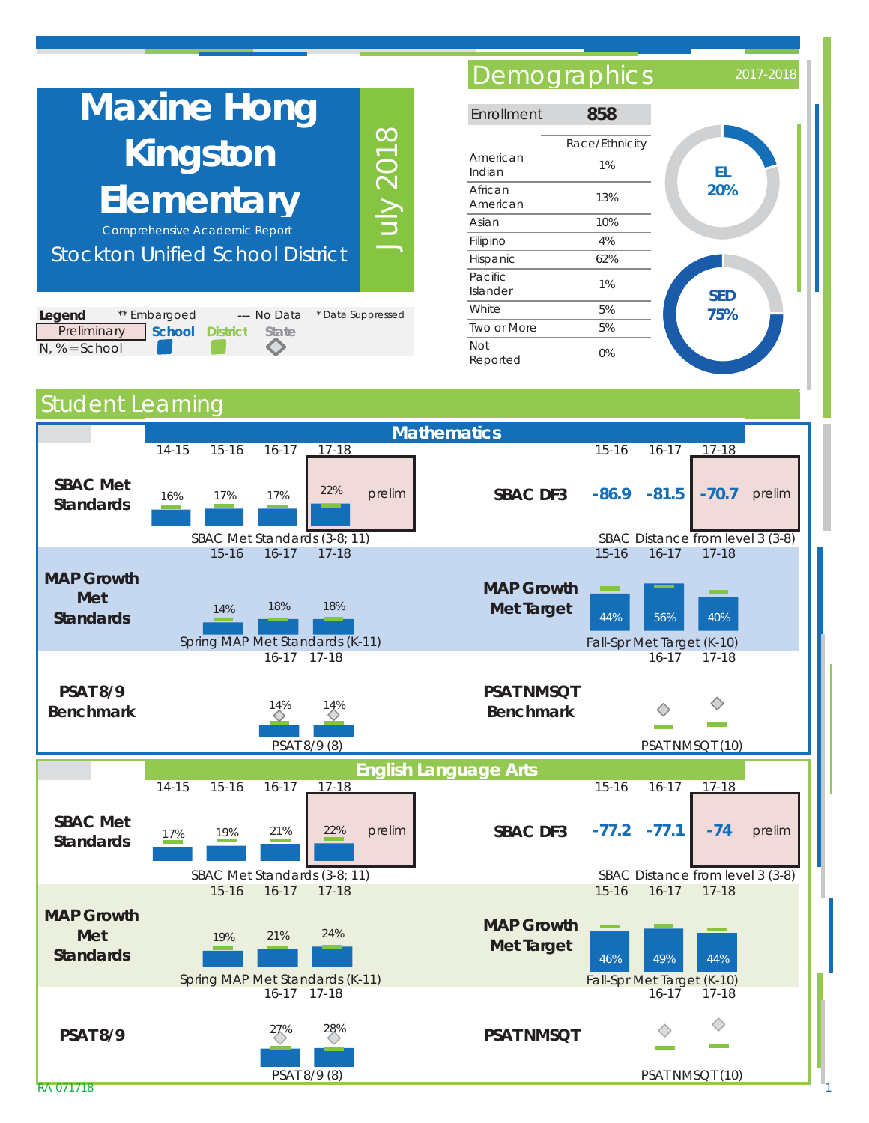| <b>Maxine Hong</b>                                                    | Enro                                              |                 |  |  |  |  |  |
|-----------------------------------------------------------------------|---------------------------------------------------|-----------------|--|--|--|--|--|
| Kingston<br><b>Elementary</b><br><b>Comprehensive Academic Report</b> | Ame<br>India<br>Africa<br>Ame<br>Asiar<br>Filipir |                 |  |  |  |  |  |
| <b>Stockton Unified School District</b>                               | Hispa                                             |                 |  |  |  |  |  |
|                                                                       |                                                   | Pacif<br>Island |  |  |  |  |  |
| * Data Suppressed<br>Legend<br>** Embargoed<br>--- No Data            |                                                   |                 |  |  |  |  |  |
| Preliminary<br><b>School District</b><br><b>State</b>                 |                                                   | Two (           |  |  |  |  |  |

## Demographics 2017-201

| Enrollment             | 858                  |            |
|------------------------|----------------------|------------|
| American<br>Indian     | Race/Ethnicity<br>1% | EL         |
| African<br>American    | 13%                  | 20%        |
| Asian                  | 10%                  |            |
| Filipino               | 4%                   |            |
| Hispanic               | 62%                  |            |
| Pacific<br>Islander    | 1%                   | <b>SED</b> |
| White                  | 5%                   | 75%        |
| Two or More            | 5%                   |            |
| <b>Not</b><br>Reported | 0%                   |            |

## Student Learning

 $N, % = School$